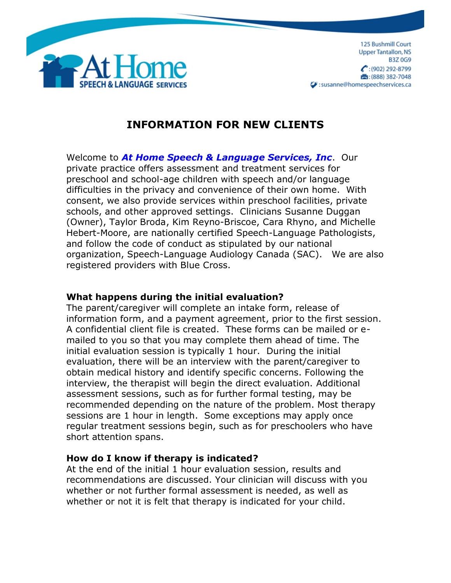

# **INFORMATION FOR NEW CLIENTS**

Welcome to *At Home Speech & Language Services, Inc*. Our private practice offers assessment and treatment services for preschool and school-age children with speech and/or language difficulties in the privacy and convenience of their own home. With consent, we also provide services within preschool facilities, private schools, and other approved settings. Clinicians Susanne Duggan (Owner), Taylor Broda, Kim Reyno-Briscoe, Cara Rhyno, and Michelle Hebert-Moore, are nationally certified Speech-Language Pathologists, and follow the code of conduct as stipulated by our national organization, Speech-Language Audiology Canada (SAC). We are also registered providers with Blue Cross.

## **What happens during the initial evaluation?**

The parent/caregiver will complete an intake form, release of information form, and a payment agreement, prior to the first session. A confidential client file is created. These forms can be mailed or emailed to you so that you may complete them ahead of time. The initial evaluation session is typically 1 hour. During the initial evaluation, there will be an interview with the parent/caregiver to obtain medical history and identify specific concerns. Following the interview, the therapist will begin the direct evaluation. Additional assessment sessions, such as for further formal testing, may be recommended depending on the nature of the problem. Most therapy sessions are 1 hour in length. Some exceptions may apply once regular treatment sessions begin, such as for preschoolers who have short attention spans.

## **How do I know if therapy is indicated?**

At the end of the initial 1 hour evaluation session, results and recommendations are discussed. Your clinician will discuss with you whether or not further formal assessment is needed, as well as whether or not it is felt that therapy is indicated for your child.